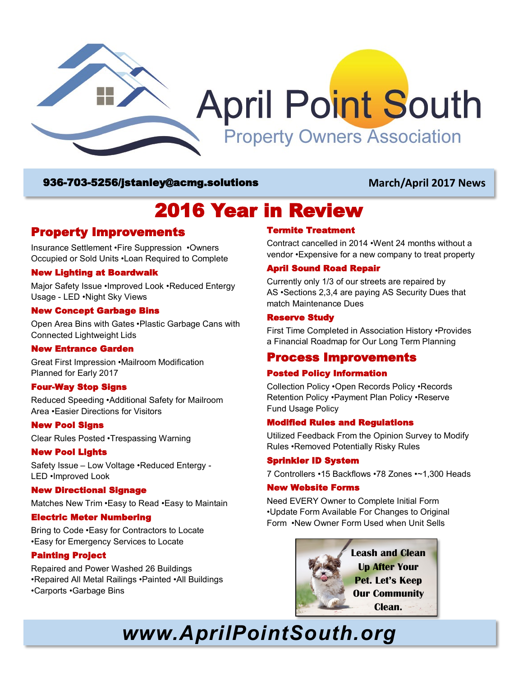

### 936-703-5256/[jstanley@acmg.solutions](mailto:jstanley@acmg.solutions) **March/April 2017 News**

# 2016 Year in Review

# Property Improvements

Insurance Settlement •Fire Suppression •Owners Occupied or Sold Units •Loan Required to Complete

#### New Lighting at Boardwalk

Major Safety Issue •Improved Look •Reduced Entergy Usage - LED •Night Sky Views

#### New Concept Garbage Bins

Open Area Bins with Gates •Plastic Garbage Cans with Connected Lightweight Lids

#### New Entrance Garden

Great First Impression •Mailroom Modification Planned for Early 2017

#### Four-Way Stop Signs

Reduced Speeding •Additional Safety for Mailroom Area •Easier Directions for Visitors

#### New Pool Signs

Clear Rules Posted •Trespassing Warning

#### New Pool Lights

Safety Issue – Low Voltage •Reduced Entergy - LED •Improved Look

#### New Directional Signage

Matches New Trim •Easy to Read •Easy to Maintain

#### Electric Meter Numbering

Bring to Code •Easy for Contractors to Locate •Easy for Emergency Services to Locate

#### Painting Project

Repaired and Power Washed 26 Buildings •Repaired All Metal Railings •Painted •All Buildings •Carports •Garbage Bins

### Termite Treatment

Contract cancelled in 2014 •Went 24 months without a vendor •Expensive for a new company to treat property

#### April Sound Road Repair

Currently only 1/3 of our streets are repaired by AS •Sections 2,3,4 are paying AS Security Dues that match Maintenance Dues

#### Reserve Study

First Time Completed in Association History •Provides a Financial Roadmap for Our Long Term Planning

### Process Improvements

#### Posted Policy Information

Collection Policy •Open Records Policy •Records Retention Policy •Payment Plan Policy •Reserve Fund Usage Policy

#### Modified Rules and Regulations

Utilized Feedback From the Opinion Survey to Modify Rules •Removed Potentially Risky Rules

#### Sprinkler ID System

7 Controllers •15 Backflows •78 Zones •~1,300 Heads

#### New Website Forms

Need EVERY Owner to Complete Initial Form •Update Form Available For Changes to Original Form •New Owner Form Used when Unit Sells



# *www.AprilPointSouth.org*